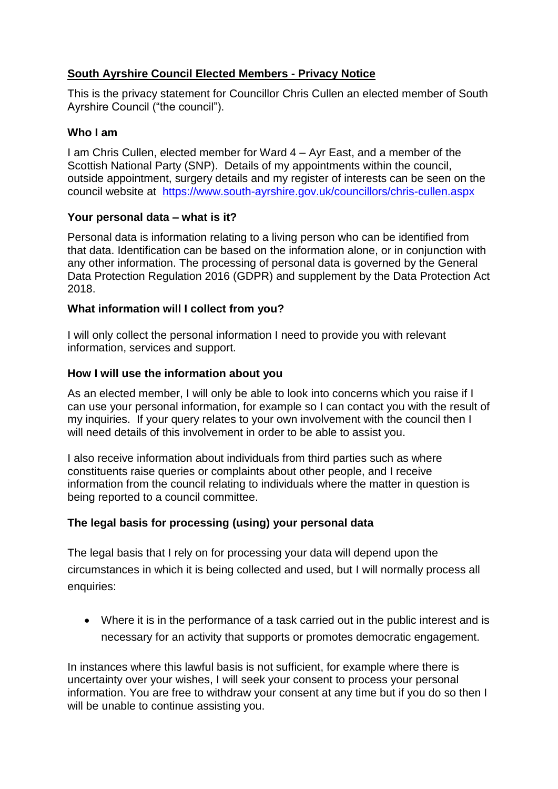# **South Ayrshire Council Elected Members - Privacy Notice**

This is the privacy statement for Councillor Chris Cullen an elected member of South Ayrshire Council ("the council").

## **Who I am**

I am Chris Cullen, elected member for Ward 4 – Ayr East, and a member of the Scottish National Party (SNP). Details of my appointments within the council, outside appointment, surgery details and my register of interests can be seen on the council website at <https://www.south-ayrshire.gov.uk/councillors/chris-cullen.aspx>

## **Your personal data – what is it?**

Personal data is information relating to a living person who can be identified from that data. Identification can be based on the information alone, or in conjunction with any other information. The processing of personal data is governed by the General Data Protection Regulation 2016 (GDPR) and supplement by the Data Protection Act 2018.

### **What information will I collect from you?**

I will only collect the personal information I need to provide you with relevant information, services and support.

### **How I will use the information about you**

As an elected member, I will only be able to look into concerns which you raise if I can use your personal information, for example so I can contact you with the result of my inquiries. If your query relates to your own involvement with the council then I will need details of this involvement in order to be able to assist you.

I also receive information about individuals from third parties such as where constituents raise queries or complaints about other people, and I receive information from the council relating to individuals where the matter in question is being reported to a council committee.

## **The legal basis for processing (using) your personal data**

The legal basis that I rely on for processing your data will depend upon the circumstances in which it is being collected and used, but I will normally process all enquiries:

 Where it is in the performance of a task carried out in the public interest and is necessary for an activity that supports or promotes democratic engagement.

In instances where this lawful basis is not sufficient, for example where there is uncertainty over your wishes, I will seek your consent to process your personal information. You are free to withdraw your consent at any time but if you do so then I will be unable to continue assisting you.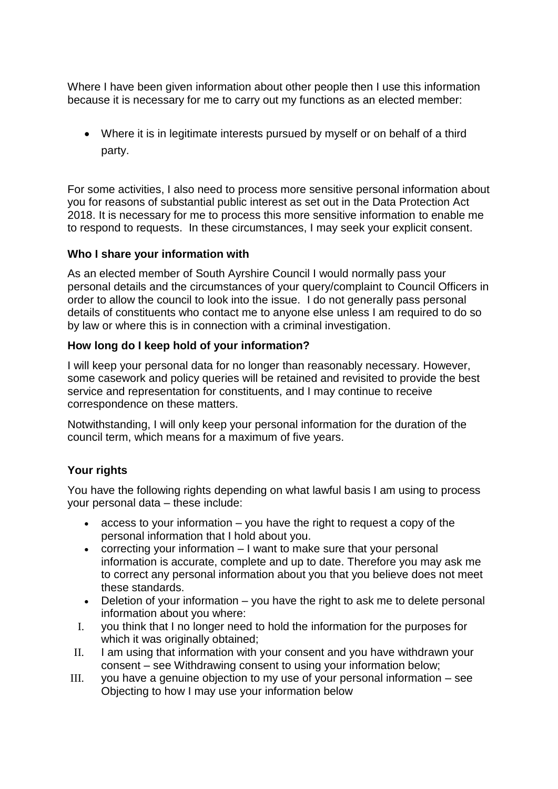Where I have been given information about other people then I use this information because it is necessary for me to carry out my functions as an elected member:

 Where it is in legitimate interests pursued by myself or on behalf of a third party.

For some activities, I also need to process more sensitive personal information about you for reasons of substantial public interest as set out in the Data Protection Act 2018. It is necessary for me to process this more sensitive information to enable me to respond to requests. In these circumstances, I may seek your explicit consent.

### **Who I share your information with**

As an elected member of South Ayrshire Council I would normally pass your personal details and the circumstances of your query/complaint to Council Officers in order to allow the council to look into the issue. I do not generally pass personal details of constituents who contact me to anyone else unless I am required to do so by law or where this is in connection with a criminal investigation.

### **How long do I keep hold of your information?**

I will keep your personal data for no longer than reasonably necessary. However, some casework and policy queries will be retained and revisited to provide the best service and representation for constituents, and I may continue to receive correspondence on these matters.

Notwithstanding, I will only keep your personal information for the duration of the council term, which means for a maximum of five years.

## **Your rights**

You have the following rights depending on what lawful basis I am using to process your personal data – these include:

- $\bullet$  access to your information  $-$  you have the right to request a copy of the personal information that I hold about you.
- correcting your information I want to make sure that your personal information is accurate, complete and up to date. Therefore you may ask me to correct any personal information about you that you believe does not meet these standards.
- Deletion of your information you have the right to ask me to delete personal information about you where:
- I. you think that I no longer need to hold the information for the purposes for which it was originally obtained;
- II. I am using that information with your consent and you have withdrawn your consent – see Withdrawing consent to using your information below;
- III. you have a genuine objection to my use of your personal information see Objecting to how I may use your information below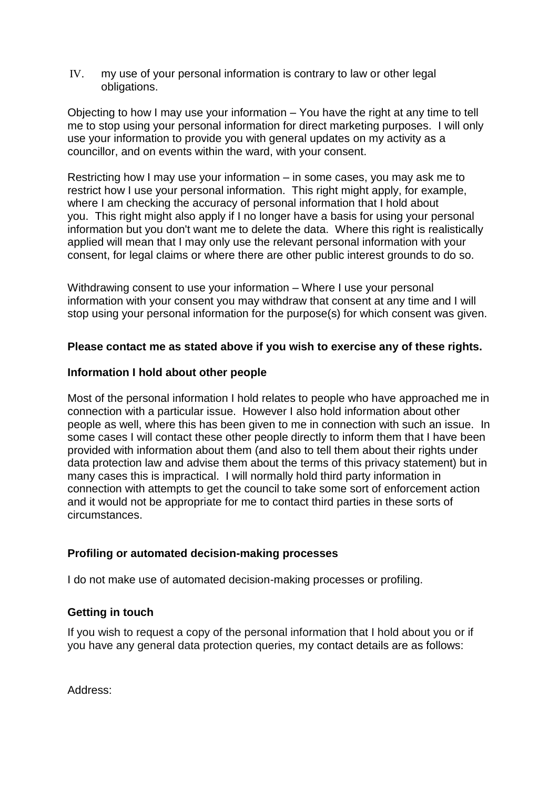IV. my use of your personal information is contrary to law or other legal obligations.

Objecting to how I may use your information – You have the right at any time to tell me to stop using your personal information for direct marketing purposes. I will only use your information to provide you with general updates on my activity as a councillor, and on events within the ward, with your consent.

Restricting how I may use your information – in some cases, you may ask me to restrict how I use your personal information. This right might apply, for example, where I am checking the accuracy of personal information that I hold about you. This right might also apply if I no longer have a basis for using your personal information but you don't want me to delete the data. Where this right is realistically applied will mean that I may only use the relevant personal information with your consent, for legal claims or where there are other public interest grounds to do so.

Withdrawing consent to use your information – Where I use your personal information with your consent you may withdraw that consent at any time and I will stop using your personal information for the purpose(s) for which consent was given.

#### **Please contact me as stated above if you wish to exercise any of these rights.**

#### **Information I hold about other people**

Most of the personal information I hold relates to people who have approached me in connection with a particular issue. However I also hold information about other people as well, where this has been given to me in connection with such an issue. In some cases I will contact these other people directly to inform them that I have been provided with information about them (and also to tell them about their rights under data protection law and advise them about the terms of this privacy statement) but in many cases this is impractical. I will normally hold third party information in connection with attempts to get the council to take some sort of enforcement action and it would not be appropriate for me to contact third parties in these sorts of circumstances.

## **Profiling or automated decision-making processes**

I do not make use of automated decision-making processes or profiling.

## **Getting in touch**

If you wish to request a copy of the personal information that I hold about you or if you have any general data protection queries, my contact details are as follows:

Address: